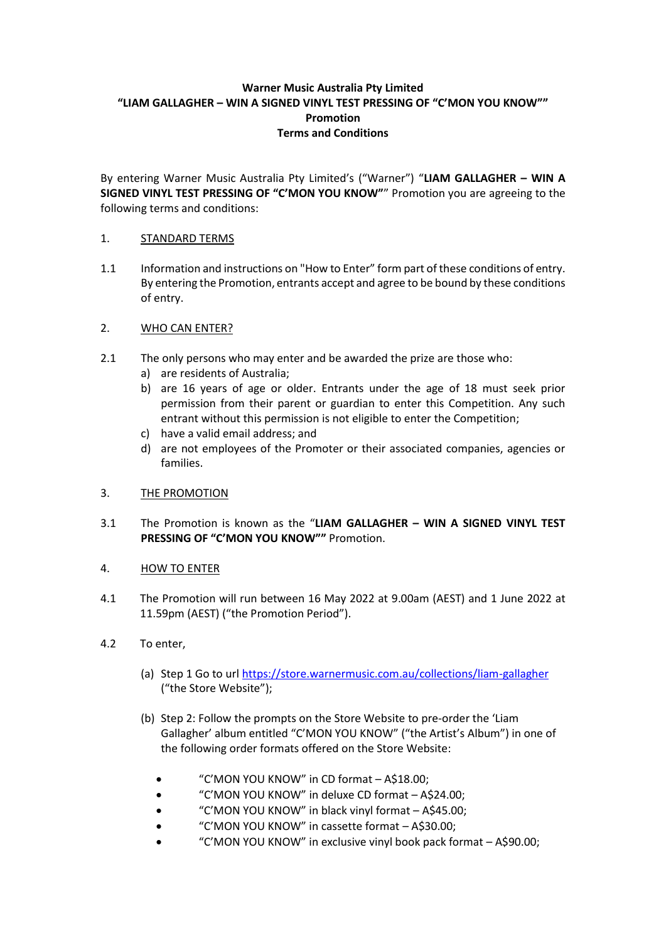# **Warner Music Australia Pty Limited "LIAM GALLAGHER – WIN A SIGNED VINYL TEST PRESSING OF "C'MON YOU KNOW"" Promotion Terms and Conditions**

By entering Warner Music Australia Pty Limited's ("Warner") "**LIAM GALLAGHER – WIN A SIGNED VINYL TEST PRESSING OF "C'MON YOU KNOW"**" Promotion you are agreeing to the following terms and conditions:

## 1. STANDARD TERMS

1.1 Information and instructions on "How to Enter" form part of these conditions of entry. By entering the Promotion, entrants accept and agree to be bound by these conditions of entry.

## 2. WHO CAN ENTER?

- 2.1 The only persons who may enter and be awarded the prize are those who:
	- a) are residents of Australia;
	- b) are 16 years of age or older. Entrants under the age of 18 must seek prior permission from their parent or guardian to enter this Competition. Any such entrant without this permission is not eligible to enter the Competition;
	- c) have a valid email address; and
	- d) are not employees of the Promoter or their associated companies, agencies or families.

### 3. THE PROMOTION

3.1 The Promotion is known as the "**LIAM GALLAGHER – WIN A SIGNED VINYL TEST PRESSING OF "C'MON YOU KNOW""** Promotion.

### 4. HOW TO ENTER

- 4.1 The Promotion will run between 16 May 2022 at 9.00am (AEST) and 1 June 2022 at 11.59pm (AEST) ("the Promotion Period").
- 4.2 To enter,
	- (a) Step 1 Go to url <https://store.warnermusic.com.au/collections/liam-gallagher> ("the Store Website");
	- (b) Step 2: Follow the prompts on the Store Website to pre-order the 'Liam Gallagher' album entitled "C'MON YOU KNOW" ("the Artist's Album") in one of the following order formats offered on the Store Website:
		- "C'MON YOU KNOW" in CD format A\$18.00;
		- "C'MON YOU KNOW" in deluxe CD format A\$24.00;
		- "C'MON YOU KNOW" in black vinyl format A\$45.00;
		- "C'MON YOU KNOW" in cassette format A\$30.00;
		- "C'MON YOU KNOW" in exclusive vinyl book pack format A\$90.00;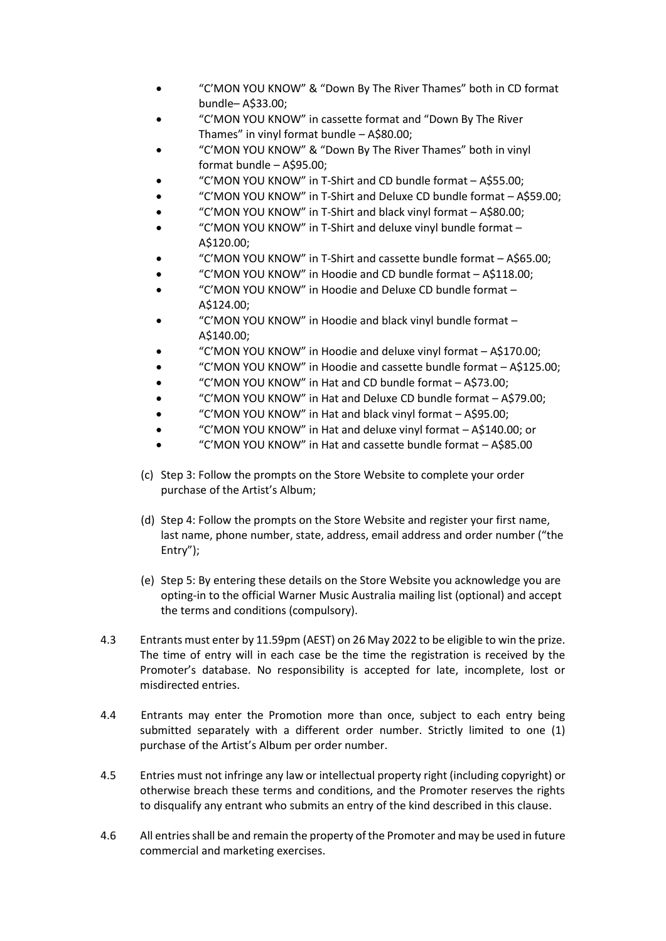- "C'MON YOU KNOW" & "Down By The River Thames" both in CD format bundle– A\$33.00;
- "C'MON YOU KNOW" in cassette format and "Down By The River Thames" in vinyl format bundle – A\$80.00;
- "C'MON YOU KNOW" & "Down By The River Thames" both in vinyl format bundle – A\$95.00;
- "C'MON YOU KNOW" in T-Shirt and CD bundle format A\$55.00;
- "C'MON YOU KNOW" in T-Shirt and Deluxe CD bundle format A\$59.00;
- "C'MON YOU KNOW" in T-Shirt and black vinyl format A\$80.00;
- "C'MON YOU KNOW" in T-Shirt and deluxe vinyl bundle format A\$120.00;
- "C'MON YOU KNOW" in T-Shirt and cassette bundle format A\$65.00;
- "C'MON YOU KNOW" in Hoodie and CD bundle format A\$118.00;
- "C'MON YOU KNOW" in Hoodie and Deluxe CD bundle format A\$124.00;
- "C'MON YOU KNOW" in Hoodie and black vinyl bundle format A\$140.00;
- "C'MON YOU KNOW" in Hoodie and deluxe vinyl format A\$170.00;
- "C'MON YOU KNOW" in Hoodie and cassette bundle format A\$125.00;
- "C'MON YOU KNOW" in Hat and CD bundle format A\$73.00;
- "C'MON YOU KNOW" in Hat and Deluxe CD bundle format A\$79.00;
- "C'MON YOU KNOW" in Hat and black vinyl format A\$95.00;
- "C'MON YOU KNOW" in Hat and deluxe vinyl format A\$140.00; or
- "C'MON YOU KNOW" in Hat and cassette bundle format A\$85.00
- (c) Step 3: Follow the prompts on the Store Website to complete your order purchase of the Artist's Album;
- (d) Step 4: Follow the prompts on the Store Website and register your first name, last name, phone number, state, address, email address and order number ("the Entry");
- (e) Step 5: By entering these details on the Store Website you acknowledge you are opting-in to the official Warner Music Australia mailing list (optional) and accept the terms and conditions (compulsory).
- 4.3 Entrants must enter by 11.59pm (AEST) on 26 May 2022 to be eligible to win the prize. The time of entry will in each case be the time the registration is received by the Promoter's database. No responsibility is accepted for late, incomplete, lost or misdirected entries.
- 4.4 Entrants may enter the Promotion more than once, subject to each entry being submitted separately with a different order number. Strictly limited to one (1) purchase of the Artist's Album per order number.
- 4.5 Entries must not infringe any law or intellectual property right (including copyright) or otherwise breach these terms and conditions, and the Promoter reserves the rights to disqualify any entrant who submits an entry of the kind described in this clause.
- 4.6 All entries shall be and remain the property of the Promoter and may be used in future commercial and marketing exercises.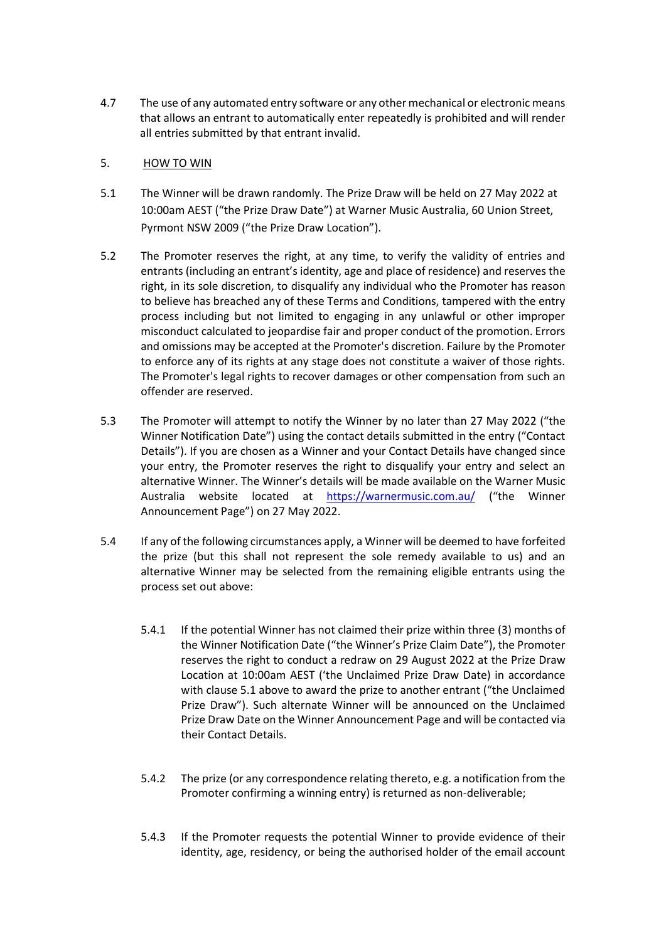4.7 The use of any automated entry software or any other mechanical or electronic means that allows an entrant to automatically enter repeatedly is prohibited and will render all entries submitted by that entrant invalid.

## 5. HOW TO WIN

- 5.1 The Winner will be drawn randomly. The Prize Draw will be held on 27 May 2022 at 10:00am AEST ("the Prize Draw Date") at Warner Music Australia, 60 Union Street, Pyrmont NSW 2009 ("the Prize Draw Location").
- 5.2 The Promoter reserves the right, at any time, to verify the validity of entries and entrants (including an entrant's identity, age and place of residence) and reserves the right, in its sole discretion, to disqualify any individual who the Promoter has reason to believe has breached any of these Terms and Conditions, tampered with the entry process including but not limited to engaging in any unlawful or other improper misconduct calculated to jeopardise fair and proper conduct of the promotion. Errors and omissions may be accepted at the Promoter's discretion. Failure by the Promoter to enforce any of its rights at any stage does not constitute a waiver of those rights. The Promoter's legal rights to recover damages or other compensation from such an offender are reserved.
- 5.3 The Promoter will attempt to notify the Winner by no later than 27 May 2022 ("the Winner Notification Date") using the contact details submitted in the entry ("Contact Details"). If you are chosen as a Winner and your Contact Details have changed since your entry, the Promoter reserves the right to disqualify your entry and select an alternative Winner. The Winner's details will be made available on the Warner Music Australia website located at <https://warnermusic.com.au/> ("the Winner Announcement Page") on 27 May 2022.
- 5.4 If any of the following circumstances apply, a Winner will be deemed to have forfeited the prize (but this shall not represent the sole remedy available to us) and an alternative Winner may be selected from the remaining eligible entrants using the process set out above:
	- 5.4.1 If the potential Winner has not claimed their prize within three (3) months of the Winner Notification Date ("the Winner's Prize Claim Date"), the Promoter reserves the right to conduct a redraw on 29 August 2022 at the Prize Draw Location at 10:00am AEST ('the Unclaimed Prize Draw Date) in accordance with clause 5.1 above to award the prize to another entrant ("the Unclaimed Prize Draw"). Such alternate Winner will be announced on the Unclaimed Prize Draw Date on the Winner Announcement Page and will be contacted via their Contact Details.
	- 5.4.2 The prize (or any correspondence relating thereto, e.g. a notification from the Promoter confirming a winning entry) is returned as non-deliverable;
	- 5.4.3 If the Promoter requests the potential Winner to provide evidence of their identity, age, residency, or being the authorised holder of the email account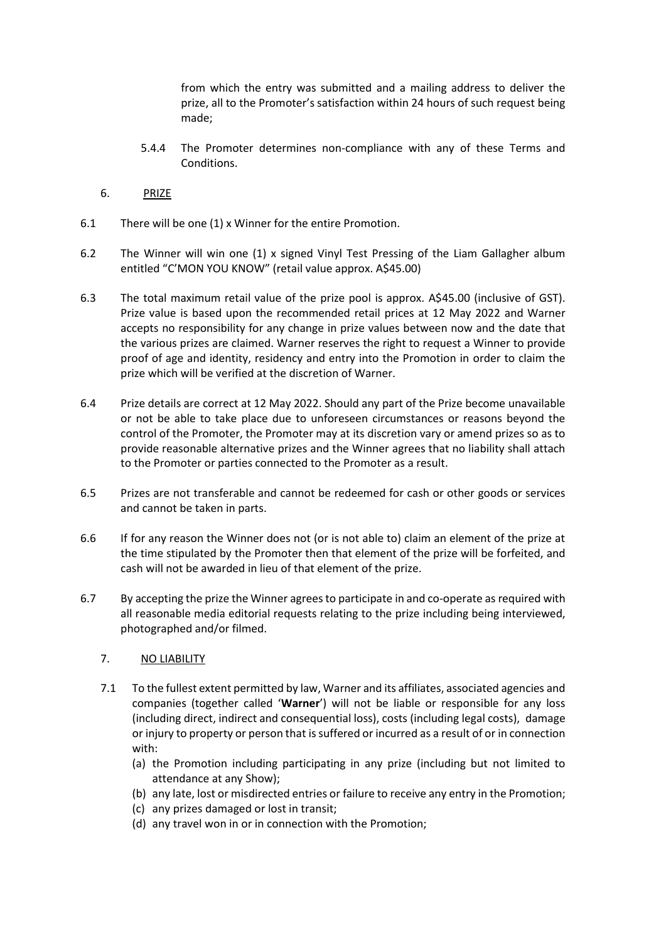from which the entry was submitted and a mailing address to deliver the prize, all to the Promoter's satisfaction within 24 hours of such request being made;

- 5.4.4 The Promoter determines non-compliance with any of these Terms and Conditions.
- 6. PRIZE
- 6.1 There will be one (1) x Winner for the entire Promotion.
- 6.2 The Winner will win one (1) x signed Vinyl Test Pressing of the Liam Gallagher album entitled "C'MON YOU KNOW" (retail value approx. A\$45.00)
- 6.3 The total maximum retail value of the prize pool is approx. A\$45.00 (inclusive of GST). Prize value is based upon the recommended retail prices at 12 May 2022 and Warner accepts no responsibility for any change in prize values between now and the date that the various prizes are claimed. Warner reserves the right to request a Winner to provide proof of age and identity, residency and entry into the Promotion in order to claim the prize which will be verified at the discretion of Warner.
- 6.4 Prize details are correct at 12 May 2022. Should any part of the Prize become unavailable or not be able to take place due to unforeseen circumstances or reasons beyond the control of the Promoter, the Promoter may at its discretion vary or amend prizes so as to provide reasonable alternative prizes and the Winner agrees that no liability shall attach to the Promoter or parties connected to the Promoter as a result.
- 6.5 Prizes are not transferable and cannot be redeemed for cash or other goods or services and cannot be taken in parts.
- 6.6 If for any reason the Winner does not (or is not able to) claim an element of the prize at the time stipulated by the Promoter then that element of the prize will be forfeited, and cash will not be awarded in lieu of that element of the prize.
- 6.7 By accepting the prize the Winner agrees to participate in and co-operate as required with all reasonable media editorial requests relating to the prize including being interviewed, photographed and/or filmed.
	- 7. NO LIABILITY
	- 7.1 To the fullest extent permitted by law, Warner and its affiliates, associated agencies and companies (together called '**Warner**') will not be liable or responsible for any loss (including direct, indirect and consequential loss), costs (including legal costs), damage or injury to property or person that is suffered or incurred as a result of or in connection with:
		- (a) the Promotion including participating in any prize (including but not limited to attendance at any Show);
		- (b) any late, lost or misdirected entries or failure to receive any entry in the Promotion;
		- (c) any prizes damaged or lost in transit;
		- (d) any travel won in or in connection with the Promotion;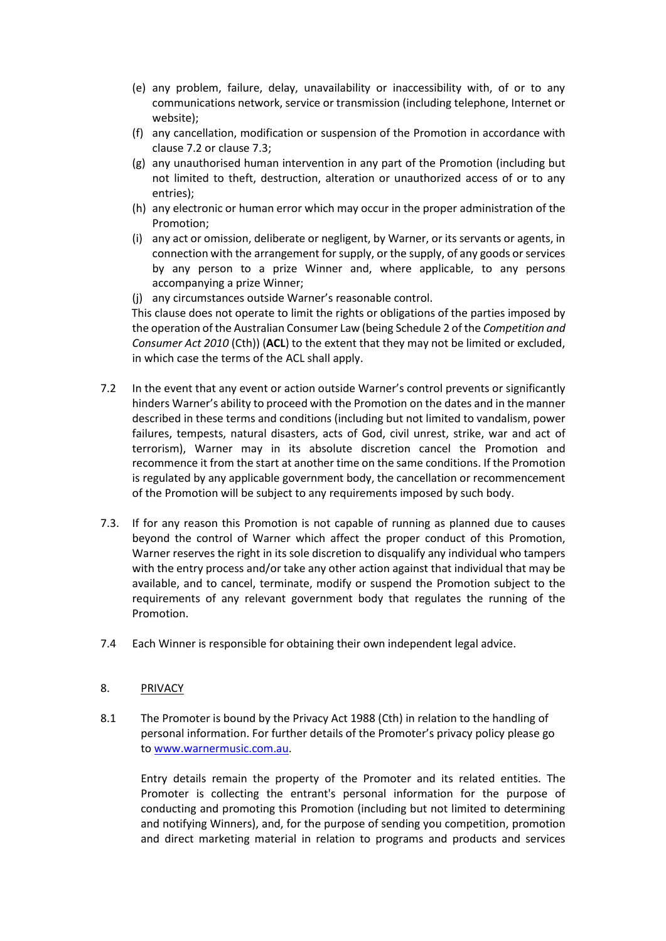- (e) any problem, failure, delay, unavailability or inaccessibility with, of or to any communications network, service or transmission (including telephone, Internet or website);
- (f) any cancellation, modification or suspension of the Promotion in accordance with clause 7.2 or clause 7.3;
- (g) any unauthorised human intervention in any part of the Promotion (including but not limited to theft, destruction, alteration or unauthorized access of or to any entries);
- (h) any electronic or human error which may occur in the proper administration of the Promotion;
- (i) any act or omission, deliberate or negligent, by Warner, or its servants or agents, in connection with the arrangement for supply, or the supply, of any goods or services by any person to a prize Winner and, where applicable, to any persons accompanying a prize Winner;
- (j) any circumstances outside Warner's reasonable control.

This clause does not operate to limit the rights or obligations of the parties imposed by the operation of the Australian Consumer Law (being Schedule 2 of the *Competition and Consumer Act 2010* (Cth)) (**ACL**) to the extent that they may not be limited or excluded, in which case the terms of the ACL shall apply.

- 7.2 In the event that any event or action outside Warner's control prevents or significantly hinders Warner's ability to proceed with the Promotion on the dates and in the manner described in these terms and conditions (including but not limited to vandalism, power failures, tempests, natural disasters, acts of God, civil unrest, strike, war and act of terrorism), Warner may in its absolute discretion cancel the Promotion and recommence it from the start at another time on the same conditions. If the Promotion is regulated by any applicable government body, the cancellation or recommencement of the Promotion will be subject to any requirements imposed by such body.
- 7.3. If for any reason this Promotion is not capable of running as planned due to causes beyond the control of Warner which affect the proper conduct of this Promotion, Warner reserves the right in its sole discretion to disqualify any individual who tampers with the entry process and/or take any other action against that individual that may be available, and to cancel, terminate, modify or suspend the Promotion subject to the requirements of any relevant government body that regulates the running of the Promotion.
- 7.4 Each Winner is responsible for obtaining their own independent legal advice.

### 8. PRIVACY

8.1 The Promoter is bound by the Privacy Act 1988 (Cth) in relation to the handling of personal information. For further details of the Promoter's privacy policy please go to [www.warnermusic.com.au.](http://www.warnermusic.com.au/)

Entry details remain the property of the Promoter and its related entities. The Promoter is collecting the entrant's personal information for the purpose of conducting and promoting this Promotion (including but not limited to determining and notifying Winners), and, for the purpose of sending you competition, promotion and direct marketing material in relation to programs and products and services